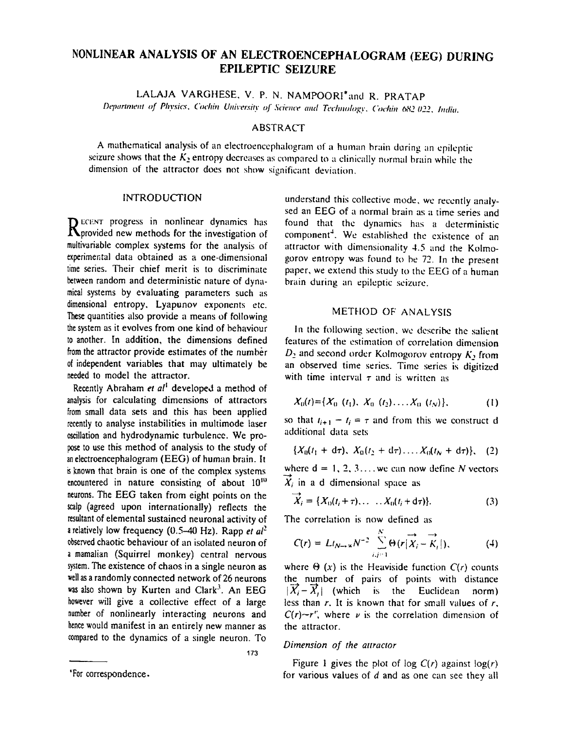# NONLlNEAR ANALYSIS OF AN ELECTROENCEPHALOGRAM (EEG) DURING EPILEPTIC SEIZURE

LALAJA VARGHESE. V. P. N. NAMPOORI\*and R. PRATAP

Department of Physics, Cochin University of Science and Technology, Cochin 682 022, India.

## ABSTRACT

A mathematical analysis of an electroencephalogram of a human brain during an epileptic seizure shows that the  $K_2$  entropy decreases as compared to a clinically normal brain while the dimension of the uttractor does not show significant deviation.

#### **INTRODUCTION**

RECENT progress in nonlinear dynamics has expredicted new methods for the investigation of multivariable complex systems for the analysis of experimental data obtained as a one-dimensional time series. Their chief merit is to discriminate between random and deterministic nature of dynamical systems by evaluating parameters such as dimensional entropy. Lyapunov exponents etc. These quantities also provide a means of following the system as it evolves from one kind of behaviour to another. In addition, the dimensions defined from the attractor provide estimates of the numher of independent variables that may ultimately be needed to model the attractor.

Recently Abraham et al<sup>1</sup> developed a method of analysis for calculating dimensions of attractors from small data sets and this has been applied recently to analyse instabilities in multimode laser oscillation and hydrodynamic turbulence. We propose to use this method of analysis to the study of an electroencephalogram (EEG) of human brain. It is known that brain is one of the complex systems encountered in nature consisting of about  $10^{10}$ neurons. The EEG taken from eight points on the scalp (agreed upon internationally) reflects the resultant of elemental sustained neuronal activity of a relatively low frequency (0.5-40 Hz). Rapp *et aP*  observed chaotic behaviour of an isolated neuron of a mamalian (Squirrel monkey) central nervous system. The existence of chaos in a single neuron as well as a randomly connected network of 26 neurons was also shown by Kurten and Clark<sup>3</sup>. An EEG however will give a collective effect of a large number of nonlinearly interacting neurons and hence would manifest in an entirely new manner as compared to the dynamics of a single neuron. To

understand this collective mode, we recently analysed an EEG of a normal brain as a time series and found that the dynamics has a deterministic component<sup>4</sup>. We established the existence of an attractor with dimensionality 4.5 and the Kolmogorov entropy was found to be 72. In the present paper, we extend this study to the EEG of a human brain during an epileptic seizure.

### METHOD OF ANALYSIS

In the following section, wc describe the salient features of the estimation of correlation dimension  $D_2$  and second order Kolmogorov entropy  $K_2$  from an observed time series. Time series is digitized with time interval  $\tau$  and is written as

$$
X_0(t) = \{X_0(t_1), X_0(t_2), \ldots, X_0(t_N)\},\tag{1}
$$

so that  $t_{i+1} - t_i = \tau$  and from this we construct d ndditional data sets

$$
\{X_0(t_1 + d\tau), X_0(t_2 + d\tau), \ldots, X_0(t_N + d\tau)\}, \quad (2)
$$

where  $d = 1, 2, 3, \ldots$  we can now define N vectors  $\overrightarrow{X}_i$  in a d dimensional space as

$$
\overrightarrow{X}_i = \{X_0(t_i + \tau), \dots, X_0(t_i + d\tau)\}.
$$
 (3)

The correlation is now defined as

$$
C(r) = Lt_{N\to\infty}N^{-2}\sum_{i,j=1}^{N}\Theta(r|\overrightarrow{X}_{i}-\overrightarrow{K}_{j}|), \qquad (4)
$$

where  $\Theta(x)$  is the Heaviside function  $C(r)$  counts the number of pairs of points with distance  $|\vec{X}_i - \vec{X}_i|$  (which is the Euclidean norm) less than  $r$ . It is known that for small values of  $r$ ,  $C(r) \rightarrow r''$ , where  $\nu$  is the correlation dimension of the attractor.

#### *Dimension of the attractor*

173

Figure 1 gives the plot of log  $C(r)$  against log(r) for various values of  $d$  and as one can see they all

<sup>&#</sup>x27;For correspondence.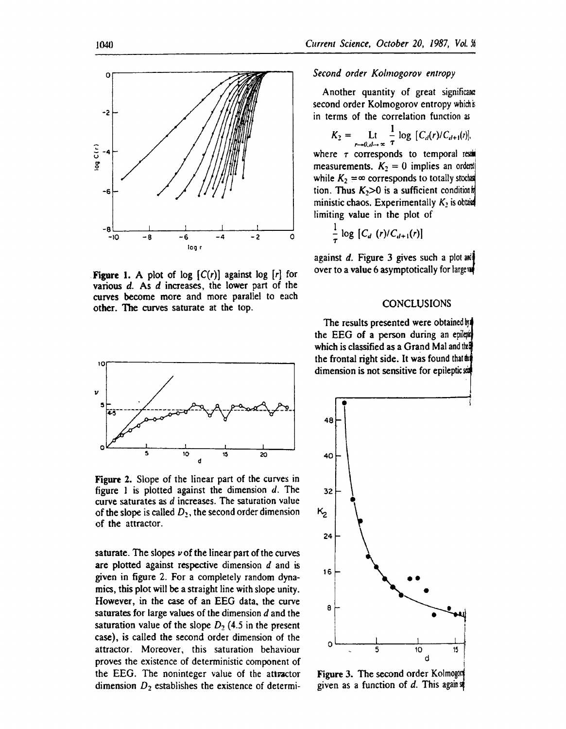

**Figure 1.** A plot of log  $[C(r)]$  against log  $[r]$  for various  $d$ . As  $d$  increases, the lower part of the curves become more and more parallel to each other. The curves saturate at the top.



Figure 2. Slope of the linear part of the curves in figure 1 is plotted against the dimension  $d$ . The curve saturates as *d* increases. The saturation value of the slope is called  $D_2$ , the second order dimension of the attractor.

saturate. The slopes  $\nu$  of the linear part of the curves are plotted against respective dimension d and is given in figure 2. For a completely random dynamics, this plot will be a straight line with slope unity. However, in the case of an EEG data. the curve saturates for large values of the dimension *d* and the saturation value of the slope  $D_2$  (4.5 in the present case), is called the second order dimension of the attractor. Moreover, this saturation behaviour proves the existence of deterministic component of the EEG. The noninteger value of the attpactor dimension  $D_2$  establishes the existence of determi-

#### Second order Kolmogorov entropy

Another quantity of great significance second order Kolmogorov entropy which is in terms of the correlation function as

$$
K_2 = \mathop{\text{Lt}}_{r \to 0, d \to \infty} \frac{1}{\tau} \log [C_d(r) / C_{d+1}(r)],
$$

where  $\tau$  corresponds to temporal reduced measurements.  $K_2 = 0$  implies an orderal while  $K_2 = \infty$  corresponds to totally stocks tion. Thus  $K_2>0$  is a sufficient condition  $\frac{1}{2}$ ministic chaos. Experimentally  $K_2$  is obtain limiting value in the plot of

$$
\frac{1}{\tau}\log\left[C_d\left(r\right)/C_{d+1}(r)\right]
$$

against d. Figure 3 gives such a plot and over to a value 6 asymptotically for largever

#### **CONCLUSIONS**

The results presented were obtained  $\frac{1}{2}$ the EEG of a person during an epilepr which is classified as a Grand Mal and  $\mathfrak{m}$ the frontal right side. It was found that  $\mathbb{R}$ dimension is not sensitive for epileptic set



Figure 3. The second order Kolmogor given as a function of d. This again  $\frac{d}{dx}$